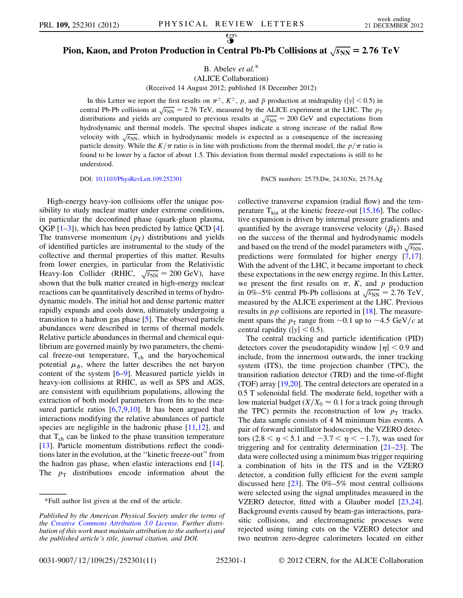## <del>ی</del><br>Pion, Kaon, and Proton Production in Central Pb-Pb Collisions at  $\sqrt{s_\text{NN}}=2.76\;\text{TeV}$

B. Abelev et al.\*

(ALICE Collaboration)

(Received 14 August 2012; published 18 December 2012)

In this Letter we report the first results on  $\pi^{\pm}$ ,  $K^{\pm}$ , p, and  $\bar{p}$  production at midrapidity (|y| < 0.5) in In this Letter we report the first results on  $\pi$ ,  $\kappa$ ,  $p$ , and  $p$  production at midrapidity ([y] < 0.5) in central Pb-Pb collisions at  $\sqrt{s_{NN}}$  = 2.76 TeV, measured by the ALICE experiment at the LHC. The  $p_T$ distributions and yields are compared to previous results at  $\sqrt{s_{NN}}$  = 200 GeV and expectations from hydrodynamic and thermal models. The spectral shapes indicate a strong increase of the radial flow nydrodynamic and thermal models. The spectral shapes indicate a strong increase of the radial flow<br>velocity with  $\sqrt{s_{NN}}$ , which in hydrodynamic models is expected as a consequence of the increasing particle density. While the  $K/\pi$  ratio is in line with predictions from the thermal model, the  $p/\pi$  ratio is found to be lower by a factor of about 1.5. This deviation from thermal model expectations is still to be understood.

DOI: [10.1103/PhysRevLett.109.252301](http://dx.doi.org/10.1103/PhysRevLett.109.252301) PACS numbers: 25.75.Dw, 24.10.Nz, 25.75.Ag

High-energy heavy-ion collisions offer the unique possibility to study nuclear matter under extreme conditions, in particular the deconfined phase (quark-gluon plasma,  $QGP$   $[1-3]$  $[1-3]$  $[1-3]$ ), which has been predicted by lattice  $QCD$   $[4]$  $[4]$ . The transverse momentum  $(p_T)$  distributions and yields of identified particles are instrumental to the study of the collective and thermal properties of this matter. Results from lower energies, in particular from the Relativistic from lower energies, in particular from the Relativistic<br>Heavy-Ion Collider (RHIC,  $\sqrt{s_{NN}} = 200 \text{ GeV}$ ), have shown that the bulk matter created in high-energy nuclear reactions can be quantitatively described in terms of hydrodynamic models. The initial hot and dense partonic matter rapidly expands and cools down, ultimately undergoing a transition to a hadron gas phase [[5\]](#page-4-3). The observed particle abundances were described in terms of thermal models. Relative particle abundances in thermal and chemical equilibrium are governed mainly by two parameters, the chemical freeze-out temperature,  $T_{ch}$  and the baryochemical potential  $\mu_B$ , where the latter describes the net baryon content of the system [\[6](#page-4-4)–[9\]](#page-4-5). Measured particle yields in heavy-ion collisions at RHIC, as well as SPS and AGS, are consistent with equilibrium populations, allowing the extraction of both model parameters from fits to the mea-sured particle ratios [[6](#page-4-4),[7,](#page-4-6)[9](#page-4-5)[,10\]](#page-4-7). It has been argued that interactions modifying the relative abundances of particle species are negligible in the hadronic phase [\[11,](#page-4-8)[12](#page-4-9)], and that  $T_{ch}$  can be linked to the phase transition temperature [\[13\]](#page-4-10). Particle momentum distributions reflect the conditions later in the evolution, at the ''kinetic freeze-out'' from the hadron gas phase, when elastic interactions end [\[14\]](#page-4-11). The  $p_T$  distributions encode information about the collective transverse expansion (radial flow) and the temperature  $T_{kin}$  at the kinetic freeze-out [\[15](#page-4-12)[,16\]](#page-4-13). The collective expansion is driven by internal pressure gradients and quantified by the average transverse velocity  $\langle \beta_{\rm T} \rangle$ . Based on the success of the thermal and hydrodynamic models on the success or the thermal and hydrodynamic models<br>and based on the trend of the model parameters with  $\sqrt{s_{NN}}$ , predictions were formulated for higher energy [[7,](#page-4-6)[17\]](#page-4-14). With the advent of the LHC, it became important to check these expectations in the new energy regime. In this Letter, we present the first results on  $\pi$ , K, and p production we present the first results on  $\pi$ , K, and p production<br>in 0%–5% central Pb-Pb collisions at  $\sqrt{s_{NN}}$  = 2.76 TeV, measured by the ALICE experiment at the LHC. Previous results in  $pp$  collisions are reported in  $[18]$ . The measurement spans the  $p_T$  range from ~0.1 up to ~4.5 GeV/c at central rapidity ( $|y| < 0.5$ ).

The central tracking and particle identification (PID) detectors cover the pseudorapidity window  $|\eta|$  < 0.9 and include, from the innermost outwards, the inner tracking system (ITS), the time projection chamber (TPC), the transition radiation detector (TRD) and the time-of-flight (TOF) array [[19](#page-4-16),[20](#page-4-17)]. The central detectors are operated in a 0.5 T solenoidal field. The moderate field, together with a low material budget ( $X/X_0 \approx 0.1$  for a track going through the TPC) permits the reconstruction of low  $p<sub>T</sub>$  tracks. The data sample consists of 4 M minimum bias events. A pair of forward scintillator hodoscopes, the VZERO detectors (2.8  $\leq \eta \leq 5.1$  and  $-3.7 \leq \eta \leq -1.7$ ), was used for triggering and for centrality determination [\[21–](#page-4-18)[23](#page-4-19)]. The data were collected using a minimum bias trigger requiring a combination of hits in the ITS and in the VZERO detector, a condition fully efficient for the event sample discussed here [[23](#page-4-19)]. The 0%–5% most central collisions were selected using the signal amplitudes measured in the VZERO detector, fitted with a Glauber model [\[23,](#page-4-19)[24\]](#page-4-20). Background events caused by beam-gas interactions, parasitic collisions, and electromagnetic processes were rejected using timing cuts on the VZERO detector and two neutron zero-degree calorimeters located on either

<sup>\*</sup>Full author list given at the end of the article.

Published by the American Physical Society under the terms of the [Creative Commons Attribution 3.0 License.](http://creativecommons.org/licenses/by/3.0/) Further distribution of this work must maintain attribution to the author(s) and the published article's title, journal citation, and DOI.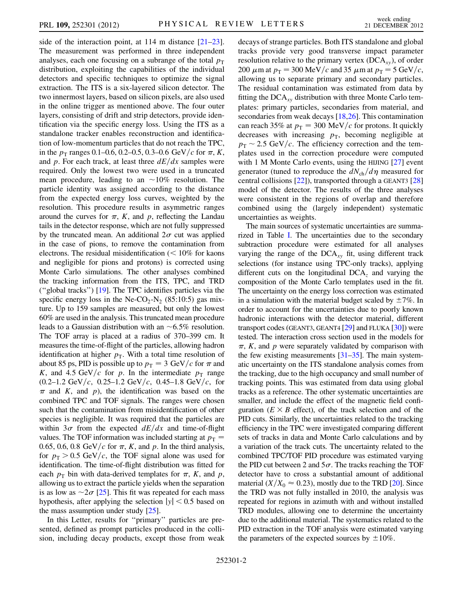side of the interaction point, at 114 m distance [[21](#page-4-18)–[23\]](#page-4-19). The measurement was performed in three independent analyses, each one focusing on a subrange of the total  $p<sub>T</sub>$ distribution, exploiting the capabilities of the individual detectors and specific techniques to optimize the signal extraction. The ITS is a six-layered silicon detector. The two innermost layers, based on silicon pixels, are also used in the online trigger as mentioned above. The four outer layers, consisting of drift and strip detectors, provide identification via the specific energy loss. Using the ITS as a standalone tracker enables reconstruction and identification of low-momentum particles that do not reach the TPC, in the  $p_T$  ranges 0.1–0.6, 0.2–0.5, 0.3–0.6 GeV/c for  $\pi$ , K, and p. For each track, at least three  $dE/dx$  samples were required. Only the lowest two were used in a truncated mean procedure, leading to an  $\sim 10\%$  resolution. The particle identity was assigned according to the distance from the expected energy loss curves, weighted by the resolution. This procedure results in asymmetric ranges around the curves for  $\pi$ , K, and p, reflecting the Landau tails in the detector response, which are not fully suppressed by the truncated mean. An additional  $2\sigma$  cut was applied in the case of pions, to remove the contamination from electrons. The residual misidentification  $\approx 10\%$  for kaons and negligible for pions and protons) is corrected using Monte Carlo simulations. The other analyses combined the tracking information from the ITS, TPC, and TRD (''global tracks'') [\[19](#page-4-16)]. The TPC identifies particles via the specific energy loss in the Ne-CO<sub>2</sub>-N<sub>2</sub> (85:10:5) gas mixture. Up to 159 samples are measured, but only the lowest 60% are used in the analysis. This truncated mean procedure leads to a Gaussian distribution with an  $\sim 6.5\%$  resolution. The TOF array is placed at a radius of 370–399 cm. It measures the time-of-flight of the particles, allowing hadron identification at higher  $p<sub>T</sub>$ . With a total time resolution of about 85 ps, PID is possible up to  $p_T = 3 \text{ GeV}/c$  for  $\pi$  and K, and 4.5 GeV/c for p. In the intermediate  $p_T$  range  $(0.2-1.2 \text{ GeV}/c, 0.25-1.2 \text{ GeV}/c, 0.45-1.8 \text{ GeV}/c, \text{ for}$  $\pi$  and K, and p), the identification was based on the combined TPC and TOF signals. The ranges were chosen such that the contamination from misidentification of other species is negligible. It was required that the particles are within  $3\sigma$  from the expected  $dE/dx$  and time-of-flight values. The TOF information was included starting at  $p<sub>T</sub>$  = 0.65, 0.6, 0.8 GeV/c for  $\pi$ , K, and p. In the third analysis, for  $p_T > 0.5$  GeV/c, the TOF signal alone was used for identification. The time-of-flight distribution was fitted for each  $p<sub>T</sub>$  bin with data-derived templates for  $\pi$ , K, and p, allowing us to extract the particle yields when the separation is as low as  $\sim$  2 $\sigma$  [[25](#page-4-21)]. This fit was repeated for each mass hypothesis, after applying the selection  $|y| < 0.5$  based on the mass assumption under study [\[25\]](#page-4-21).

In this Letter, results for ''primary'' particles are presented, defined as prompt particles produced in the collision, including decay products, except those from weak decays of strange particles. Both ITS standalone and global tracks provide very good transverse impact parameter resolution relative to the primary vertex  $(DCA_{xy})$ , of order 200  $\mu$ m at  $p_T = 300 \text{ MeV}/c$  and 35  $\mu$ m at  $p_T = 5 \text{ GeV}/c$ , allowing us to separate primary and secondary particles. The residual contamination was estimated from data by fitting the  $DCA_{xy}$  distribution with three Monte Carlo templates: primary particles, secondaries from material, and secondaries from weak decays [\[18,](#page-4-15)[26\]](#page-4-22). This contamination can reach 35% at  $p_T = 300$  MeV/c for protons. It quickly decreases with increasing  $p<sub>T</sub>$ , becoming negligible at  $p_{\rm T} \sim 2.5$  GeV/c. The efficiency correction and the templates used in the correction procedure were computed with 1 M Monte Carlo events, using the HIJING [[27](#page-4-23)] event generator (tuned to reproduce the  $dN_{ch}/d\eta$  measured for central collisions [[22\]](#page-4-24)), transported through a GEANT3 [\[28\]](#page-4-25) model of the detector. The results of the three analyses were consistent in the regions of overlap and therefore combined using the (largely independent) systematic uncertainties as weights.

The main sources of systematic uncertainties are summarized in Table [I.](#page-2-0) The uncertainties due to the secondary subtraction procedure were estimated for all analyses varying the range of the  $DCA_{xy}$  fit, using different track selections (for instance using TPC-only tracks), applying different cuts on the longitudinal  $DCA$ <sub>z</sub> and varying the composition of the Monte Carlo templates used in the fit. The uncertainty on the energy loss correction was estimated in a simulation with the material budget scaled by  $\pm 7\%$ . In order to account for the uncertainties due to poorly known hadronic interactions with the detector material, different transport codes (GEANT3, GEANT4 [[29\]](#page-4-26) and FLUKA [\[30](#page-4-27)]) were tested. The interaction cross section used in the models for  $\pi$ , K, and p were separately validated by comparison with the few existing measurements [\[31](#page-4-28)[–35\]](#page-5-0). The main systematic uncertainty on the ITS standalone analysis comes from the tracking, due to the high occupancy and small number of tracking points. This was estimated from data using global tracks as a reference. The other systematic uncertainties are smaller, and include the effect of the magnetic field configuration ( $E \times B$  effect), of the track selection and of the PID cuts. Similarly, the uncertainties related to the tracking efficiency in the TPC were investigated comparing different sets of tracks in data and Monte Carlo calculations and by a variation of the track cuts. The uncertainty related to the combined TPC/TOF PID procedure was estimated varying the PID cut between 2 and  $5\sigma$ . The tracks reaching the TOF detector have to cross a substantial amount of additional material  $(X/X_0 \approx 0.23)$ , mostly due to the TRD [[20\]](#page-4-17). Since the TRD was not fully installed in 2010, the analysis was repeated for regions in azimuth with and without installed TRD modules, allowing one to determine the uncertainty due to the additional material. The systematics related to the PID extraction in the TOF analysis were estimated varying the parameters of the expected sources by  $\pm 10\%$ .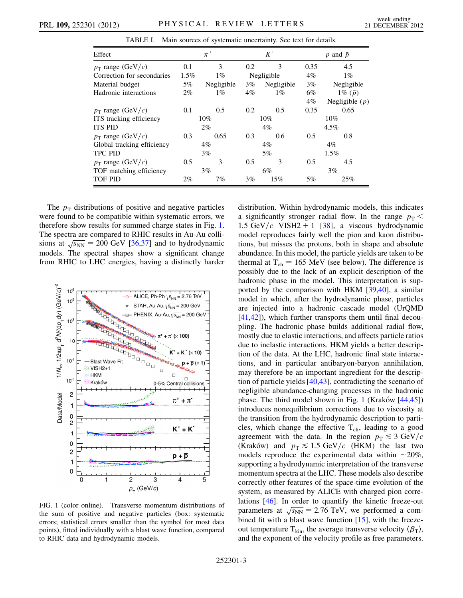$\overline{a}$ 

<span id="page-2-0"></span>

| Effect                     | $\pi^{\pm}$ |            | $K^{\pm}$  |            | $p$ and $\bar{p}$ |                   |
|----------------------------|-------------|------------|------------|------------|-------------------|-------------------|
| $p_T$ range (GeV/c)        | 0.1         | 3          | 0.2        | 3          | 0.35              | 4.5               |
| Correction for secondaries | $1.5\%$     | $1\%$      | Negligible |            | $4\%$             | $1\%$             |
| Material budget            | 5%          | Negligible | $3\%$      | Negligible | $3\%$             | Negligible        |
| Hadronic interactions      | $2\%$       | $1\%$      | $4\%$      | $1\%$      | $6\%$             | $1\%$ $(\bar{p})$ |
|                            |             |            |            |            | $4\%$             | Negligible $(p)$  |
| $p_T$ range (GeV/c)        | 0.1         | 0.5        | 0.2        | 0.5        | 0.35              | 0.65              |
| ITS tracking efficiency    | $10\%$      |            | $10\%$     |            | 10%               |                   |
| ITS PID                    | $2\%$       |            | $4\%$      |            | $4.5\%$           |                   |
| $p_T$ range (GeV/c)        | 0.3         | 0.65       | 0.3        | 0.6        | 0.5               | 0.8               |
| Global tracking efficiency | $4\%$       |            | $4\%$      |            | $4\%$             |                   |
| TPC PID                    | $3\%$       |            | $5\%$      |            | $1.5\%$           |                   |
| $p_T$ range (GeV/c)        | 0.5         | 3          | 0.5        | 3          | 0.5               | 4.5               |
| TOF matching efficiency    | $3\%$       |            | 6%         |            | $3\%$             |                   |
| TOF PID                    | $2\%$       | 7%         | $3\%$      | 15%        | 5%                | 25%               |

TABLE I. Main sources of systematic uncertainty. See text for details.

The  $p_T$  distributions of positive and negative particles were found to be compatible within systematic errors, we therefore show results for summed charge states in Fig. [1](#page-2-1). The spectra are compared to RHIC results in Au-Au colli-The spectra are compared to RHIC results in Au-Au collisions at  $\sqrt{s_{NN}}$  = 200 GeV [[36,](#page-5-1)[37](#page-5-2)] and to hydrodynamic models. The spectral shapes show a significant change from RHIC to LHC energies, having a distinctly harder

<span id="page-2-1"></span>

FIG. 1 (color online). Transverse momentum distributions of the sum of positive and negative particles (box: systematic errors; statistical errors smaller than the symbol for most data points), fitted individually with a blast wave function, compared to RHIC data and hydrodynamic models.

distribution. Within hydrodynamic models, this indicates a significantly stronger radial flow. In the range  $p<sub>T</sub>$ 1.5 GeV/c VISH2 + 1 [[38](#page-5-3)], a viscous hydrodynamic model reproduces fairly well the pion and kaon distributions, but misses the protons, both in shape and absolute abundance. In this model, the particle yields are taken to be thermal at  $T_{ch} = 165$  MeV (see below). The difference is possibly due to the lack of an explicit description of the hadronic phase in the model. This interpretation is supported by the comparison with HKM [[39,](#page-5-4)[40](#page-5-5)], a similar model in which, after the hydrodynamic phase, particles are injected into a hadronic cascade model (UrQMD [\[41](#page-5-6)[,42\]](#page-5-7)), which further transports them until final decoupling. The hadronic phase builds additional radial flow, mostly due to elastic interactions, and affects particle ratios due to inelastic interactions. HKM yields a better description of the data. At the LHC, hadronic final state interactions, and in particular antibaryon-baryon annihilation, may therefore be an important ingredient for the description of particle yields [\[40](#page-5-5)[,43\]](#page-5-8), contradicting the scenario of negligible abundance-changing processes in the hadronic phase. The third model shown in Fig. [1](#page-2-1) (Kraków  $[44,45]$  $[44,45]$  $[44,45]$  $[44,45]$ ) introduces nonequilibrium corrections due to viscosity at the transition from the hydrodynamic description to particles, which change the effective  $T_{ch}$ , leading to a good agreement with the data. In the region  $p<sub>T</sub> \leq 3 \text{ GeV}/c$ (Kraków) and  $p_T \le 1.5 \text{ GeV}/c$  (HKM) the last two models reproduce the experimental data within  $\sim$ 20%, supporting a hydrodynamic interpretation of the transverse momentum spectra at the LHC. These models also describe correctly other features of the space-time evolution of the system, as measured by ALICE with charged pion correlations [\[46\]](#page-5-11). In order to quantify the kinetic freeze-out rations (46). In order to quantify the kinetic freeze-out parameters at  $\sqrt{s_{NN}}$  = 2.76 TeV, we performed a combined fit with a blast wave function [\[15\]](#page-4-12), with the freezeout temperature  $T_{kin}$ , the average transverse velocity  $\langle \beta_T \rangle$ , and the exponent of the velocity profile as free parameters.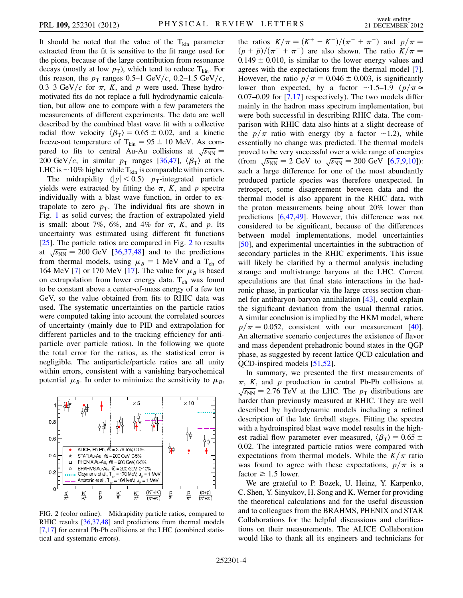It should be noted that the value of the  $T_{kin}$  parameter extracted from the fit is sensitive to the fit range used for the pions, because of the large contribution from resonance decays (mostly at low  $p_T$ ), which tend to reduce  $T_{kin}$ . For this reason, the  $p_T$  ranges 0.5–1 GeV/c, 0.2–1.5 GeV/c, 0.3–3 GeV/c for  $\pi$ , K, and p were used. These hydromotivated fits do not replace a full hydrodynamic calculation, but allow one to compare with a few parameters the measurements of different experiments. The data are well described by the combined blast wave fit with a collective radial flow velocity  $\langle \beta_T \rangle = 0.65 \pm 0.02$ , and a kinetic freeze-out temperature of  $T_{kin} = 95 \pm 10$  MeV. As comrreeze-out temperature or  $I_{\text{kin}} = 95 \pm 10$  MeV. As compared to fits to central Au-Au collisions at  $\sqrt{s_{\text{NN}}}$ 200 GeV/c, in similar  $p_T$  ranges [\[36](#page-5-1),[47\]](#page-5-12),  $\langle \beta_T \rangle$  at the LHC is  $\sim$  10% higher while T<sub>kin</sub> is comparable within errors.

The midrapidity  $(|y| < 0.5)$  p<sub>T</sub>-integrated particle yields were extracted by fitting the  $\pi$ , K, and p spectra individually with a blast wave function, in order to extrapolate to zero  $p<sub>T</sub>$ . The individual fits are shown in Fig. [1](#page-2-1) as solid curves; the fraction of extrapolated yield is small: about 7%, 6%, and 4% for  $\pi$ , K, and p. Its uncertainty was estimated using different fit functions [\[25\]](#page-4-21). The particle ratios are compared in Fig. [2](#page-3-0) to results [25]. The particle ratios are compared in Fig. 2 to results<br>at  $\sqrt{s_{NN}}$  = 200 GeV [\[36](#page-5-1)[,37,](#page-5-2)[48\]](#page-5-13) and to the predictions from thermal models, using  $\mu_B = 1$  MeV and a T<sub>ch</sub> of 164 MeV [\[7\]](#page-4-6) or 170 MeV [\[17](#page-4-14)]. The value for  $\mu_B$  is based on extrapolation from lower energy data.  $T_{ch}$  was found to be constant above a center-of-mass energy of a few ten GeV, so the value obtained from fits to RHIC data was used. The systematic uncertainties on the particle ratios were computed taking into account the correlated sources of uncertainty (mainly due to PID and extrapolation for different particles and to the tracking efficiency for antiparticle over particle ratios). In the following we quote the total error for the ratios, as the statistical error is negligible. The antiparticle/particle ratios are all unity within errors, consistent with a vanishing baryochemical potential  $\mu_B$ . In order to minimize the sensitivity to  $\mu_B$ ,

<span id="page-3-0"></span>

FIG. 2 (color online). Midrapidity particle ratios, compared to RHIC results [\[36,](#page-5-1)[37,](#page-5-2)[48](#page-5-13)] and predictions from thermal models [\[7,](#page-4-6)[17\]](#page-4-14) for central Pb-Pb collisions at the LHC (combined statistical and systematic errors).

the ratios  $K/\pi = (K^+ + K^-)/(\pi^+ + \pi^-)$  and  $p/\pi =$  $(p + \bar{p})/(\pi^+ + \pi^-)$  are also shown. The ratio  $K/\pi =$  $0.149 \pm 0.010$ , is similar to the lower energy values and agrees with the expectations from the thermal model [[7\]](#page-4-6). However, the ratio  $p/\pi = 0.046 \pm 0.003$ , is significantly lower than expected, by a factor  $\sim$ 1.5–1.9 ( $p/\pi \simeq$ 0:07–0:09 for [\[7,](#page-4-6)[17\]](#page-4-14) respectively). The two models differ mainly in the hadron mass spectrum implementation, but were both successful in describing RHIC data. The comparison with RHIC data also hints at a slight decrease of the  $p/\pi$  ratio with energy (by a factor ~1.2), while essentially no change was predicted. The thermal models proved to be very successful over a wide range of energies proved to be very successful over a wide range of energies<br>(from  $\sqrt{s_{NN}}$  = 2 GeV to  $\sqrt{s_{NN}}$  = 200 GeV [\[6](#page-4-4)[,7](#page-4-6),[9](#page-4-5),[10](#page-4-7)]): such a large difference for one of the most abundantly produced particle species was therefore unexpected. In retrospect, some disagreement between data and the thermal model is also apparent in the RHIC data, with the proton measurements being about 20% lower than predictions [\[6](#page-4-4),[47](#page-5-12)[,49](#page-5-14)]. However, this difference was not considered to be significant, because of the differences between model implementations, model uncertainties [\[50\]](#page-5-15), and experimental uncertainties in the subtraction of secondary particles in the RHIC experiments. This issue will likely be clarified by a thermal analysis including strange and multistrange baryons at the LHC. Current speculations are that final state interactions in the hadronic phase, in particular via the large cross section channel for antibaryon-baryon annihilation [\[43\]](#page-5-8), could explain the significant deviation from the usual thermal ratios. A similar conclusion is implied by the HKM model, where  $p/\pi = 0.052$ , consistent with our measurement [[40\]](#page-5-5). An alternative scenario conjectures the existence of flavor and mass dependent prehadronic bound states in the QGP phase, as suggested by recent lattice QCD calculation and QCD-inspired models [\[51,](#page-5-16)[52\]](#page-5-17).

In summary, we presented the first measurements of  $\pi$ , K, and p production in central Pb-Pb collisions at  $\sqrt{s_{NN}}$  = 2.76 TeV at the LHC. The  $p_T$  distributions are harder than previously measured at RHIC. They are well described by hydrodynamic models including a refined description of the late fireball stages. Fitting the spectra with a hydroinspired blast wave model results in the highest radial flow parameter ever measured,  $\langle \beta_T \rangle = 0.65 \pm$ 0:02. The integrated particle ratios were compared with expectations from thermal models. While the  $K/\pi$  ratio was found to agree with these expectations,  $p/\pi$  is a factor  $\geq 1.5$  lower.

We are grateful to P. Bozek, U. Heinz, Y. Karpenko, C. Shen, Y. Sinyukov, H. Song and K. Werner for providing the theoretical calculations and for the useful discussion and to colleagues from the BRAHMS, PHENIX and STAR Collaborations for the helpful discussions and clarifications on their measurements. The ALICE Collaboration would like to thank all its engineers and technicians for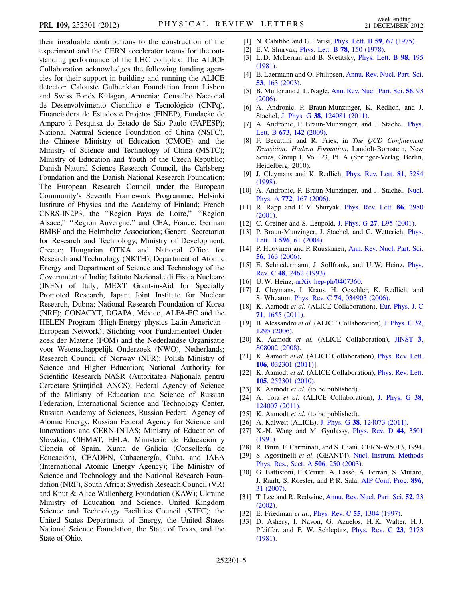their invaluable contributions to the construction of the experiment and the CERN accelerator teams for the outstanding performance of the LHC complex. The ALICE Collaboration acknowledges the following funding agencies for their support in building and running the ALICE detector: Calouste Gulbenkian Foundation from Lisbon and Swiss Fonds Kidagan, Armenia; Conselho Nacional de Desenvolvimento Científico e Tecnológico (CNPq), Financiadora de Estudos e Projetos (FINEP), Fundação de Amparo à Pesquisa do Estado de São Paulo (FAPESP); National Natural Science Foundation of China (NSFC), the Chinese Ministry of Education (CMOE) and the Ministry of Science and Technology of China (MSTC); Ministry of Education and Youth of the Czech Republic; Danish Natural Science Research Council, the Carlsberg Foundation and the Danish National Research Foundation; The European Research Council under the European Community's Seventh Framework Programme; Helsinki Institute of Physics and the Academy of Finland; French CNRS-IN2P3, the ''Region Pays de Loire,'' ''Region Alsace," "Region Auvergne," and CEA, France; German BMBF and the Helmholtz Association; General Secretariat for Research and Technology, Ministry of Development, Greece; Hungarian OTKA and National Office for Research and Technology (NKTH); Department of Atomic Energy and Department of Science and Technology of the Government of India; Istituto Nazionale di Fisica Nucleare (INFN) of Italy; MEXT Grant-in-Aid for Specially Promoted Research, Japan; Joint Institute for Nuclear Research, Dubna; National Research Foundation of Korea (NRF); CONACYT, DGAPA, México, ALFA-EC and the HELEN Program (High-Energy physics Latin-American– European Network); Stichting voor Fundamenteel Onderzoek der Materie (FOM) and the Nederlandse Organisatie voor Wetenschappelijk Onderzoek (NWO), Netherlands; Research Council of Norway (NFR); Polish Ministry of Science and Higher Education; National Authority for Scientific Research–NASR (Autoritatea Natională pentru Cercetare Științifică–ANCS); Federal Agency of Science of the Ministry of Education and Science of Russian Federation, International Science and Technology Center, Russian Academy of Sciences, Russian Federal Agency of Atomic Energy, Russian Federal Agency for Science and Innovations and CERN-INTAS; Ministry of Education of Slovakia; CIEMAT, EELA, Ministerio de Educación y Ciencia of Spain, Xunta de Galicia (Consellería de Educación), CEADEN, Cubaenergía, Cuba, and IAEA (International Atomic Energy Agency); The Ministry of Science and Technology and the National Research Foundation (NRF), South Africa; Swedish Reseach Council (VR) and Knut & Alice Wallenberg Foundation (KAW); Ukraine Ministry of Education and Science; United Kingdom Science and Technology Facilities Council (STFC); the United States Department of Energy, the United States National Science Foundation, the State of Texas, and the State of Ohio.

- <span id="page-4-0"></span>[1] N. Cabibbo and G. Parisi, *[Phys. Lett. B](http://dx.doi.org/10.1016/0370-2693(75)90158-6)* 59, 67 (1975).
- [2] E. V. Shuryak, [Phys. Lett. B](http://dx.doi.org/10.1016/0370-2693(78)90370-2) 78, 150 (1978).
- <span id="page-4-1"></span>[3] L.D. McLerran and B. Svetitsky, *[Phys. Lett. B](http://dx.doi.org/10.1016/0370-2693(81)90986-2)* 98, 195 [\(1981\)](http://dx.doi.org/10.1016/0370-2693(81)90986-2).
- <span id="page-4-2"></span>[4] E. Laermann and O. Philipsen, [Annu. Rev. Nucl. Part. Sci.](http://dx.doi.org/10.1146/annurev.nucl.53.041002.110609) 53[, 163 \(2003\)](http://dx.doi.org/10.1146/annurev.nucl.53.041002.110609).
- <span id="page-4-3"></span>[5] B. Muller and J. L. Nagle, [Ann. Rev. Nucl. Part. Sci.](http://dx.doi.org/10.1146/annurev.nucl.56.080805.140556) 56, 93 [\(2006\)](http://dx.doi.org/10.1146/annurev.nucl.56.080805.140556).
- <span id="page-4-4"></span>[6] A. Andronic, P. Braun-Munzinger, K. Redlich, and J. Stachel, J. Phys. G 38[, 124081 \(2011\)](http://dx.doi.org/10.1088/0954-3899/38/12/124081).
- <span id="page-4-6"></span>[7] A. Andronic, P. Braun-Munzinger, and J. Stachel, *[Phys.](http://dx.doi.org/10.1016/j.physletb.2009.02.014)* Lett. B **673**[, 142 \(2009\)](http://dx.doi.org/10.1016/j.physletb.2009.02.014).
- [8] F. Becattini and R. Fries, in The QCD Confinement Transition: Hadron Formation, Landolt-Bornstein, New Series, Group I, Vol. 23, Pt. A (Springer-Verlag, Berlin, Heidelberg, 2010).
- <span id="page-4-5"></span>[9] J. Cleymans and K. Redlich, [Phys. Rev. Lett.](http://dx.doi.org/10.1103/PhysRevLett.81.5284) 81, 5284 [\(1998\)](http://dx.doi.org/10.1103/PhysRevLett.81.5284).
- <span id="page-4-7"></span>[10] A. Andronic, P. Braun-Munzinger, and J. Stachel, [Nucl.](http://dx.doi.org/10.1016/j.nuclphysa.2006.03.012) Phys. A 772[, 167 \(2006\)](http://dx.doi.org/10.1016/j.nuclphysa.2006.03.012).
- <span id="page-4-8"></span>[11] R. Rapp and E.V. Shuryak, *[Phys. Rev. Lett.](http://dx.doi.org/10.1103/PhysRevLett.86.2980)* **86**, 2980 [\(2001\)](http://dx.doi.org/10.1103/PhysRevLett.86.2980).
- <span id="page-4-9"></span>[12] C. Greiner and S. Leupold, J. Phys. G 27[, L95 \(2001\).](http://dx.doi.org/10.1088/0954-3899/27/9/102)
- <span id="page-4-10"></span>[13] P. Braun-Munzinger, J. Stachel, and C. Wetterich, [Phys.](http://dx.doi.org/10.1016/j.physletb.2004.05.081) Lett. B 596[, 61 \(2004\)](http://dx.doi.org/10.1016/j.physletb.2004.05.081).
- <span id="page-4-11"></span>[14] P. Huovinen and P. Ruuskanen, [Ann. Rev. Nucl. Part. Sci.](http://dx.doi.org/10.1146/annurev.nucl.54.070103.181236) 56[, 163 \(2006\)](http://dx.doi.org/10.1146/annurev.nucl.54.070103.181236).
- <span id="page-4-12"></span>[15] E. Schnedermann, J. Sollfrank, and U.W. Heinz, *[Phys.](http://dx.doi.org/10.1103/PhysRevC.48.2462)* Rev. C 48[, 2462 \(1993\)](http://dx.doi.org/10.1103/PhysRevC.48.2462).
- <span id="page-4-13"></span>[16] U.W. Heinz, [arXiv:hep-ph/0407360.](http://arXiv.org/abs/hep-ph/0407360)
- <span id="page-4-14"></span>[17] J. Cleymans, I. Kraus, H. Oeschler, K. Redlich, and S. Wheaton, Phys. Rev. C 74[, 034903 \(2006\).](http://dx.doi.org/10.1103/PhysRevC.74.034903)
- <span id="page-4-15"></span>[18] K. Aamodt et al. (ALICE Collaboration), [Eur. Phys. J. C](http://dx.doi.org/10.1140/epjc/s10052-011-1655-9) 71[, 1655 \(2011\).](http://dx.doi.org/10.1140/epjc/s10052-011-1655-9)
- <span id="page-4-16"></span>[19] B. Alessandro et al. (ALICE Collaboration), [J. Phys. G](http://dx.doi.org/10.1088/0954-3899/32/10/001) 32, [1295 \(2006\)](http://dx.doi.org/10.1088/0954-3899/32/10/001).
- <span id="page-4-17"></span>[20] K. Aamodt et al. (ALICE Collaboration), [JINST](http://dx.doi.org/10.1088/1748-0221/3/08/S08002) 3, [S08002 \(2008\).](http://dx.doi.org/10.1088/1748-0221/3/08/S08002)
- <span id="page-4-18"></span>[21] K. Aamodt et al. (ALICE Collaboration), [Phys. Rev. Lett.](http://dx.doi.org/10.1103/PhysRevLett.106.032301) 106[, 032301 \(2011\)](http://dx.doi.org/10.1103/PhysRevLett.106.032301)].
- <span id="page-4-24"></span>[22] K. Aamodt et al. (ALICE Collaboration), *[Phys. Rev. Lett.](http://dx.doi.org/10.1103/PhysRevLett.105.252301)* 105[, 252301 \(2010\)](http://dx.doi.org/10.1103/PhysRevLett.105.252301).
- <span id="page-4-19"></span>[23] K. Aamodt et al. (to be published).
- <span id="page-4-20"></span>[24] A. Toia et al. (ALICE Collaboration), [J. Phys. G](http://dx.doi.org/10.1088/0954-3899/38/12/124007) 38, [124007 \(2011\).](http://dx.doi.org/10.1088/0954-3899/38/12/124007)
- <span id="page-4-21"></span>[25] K. Aamodt *et al.* (to be published).
- <span id="page-4-22"></span>[26] A. Kalweit (ALICE), J. Phys. G 38[, 124073 \(2011\).](http://dx.doi.org/10.1088/0954-3899/38/12/124073)
- <span id="page-4-23"></span>[27] X.-N. Wang and M. Gyulassy, [Phys. Rev. D](http://dx.doi.org/10.1103/PhysRevD.44.3501) 44, 3501 [\(1991\)](http://dx.doi.org/10.1103/PhysRevD.44.3501).
- <span id="page-4-25"></span>[28] R. Brun, F. Carminati, and S. Giani, CERN-W5013, 1994.
- <span id="page-4-26"></span>[29] S. Agostinelli et al. (GEANT4), [Nucl. Instrum. Methods](http://dx.doi.org/10.1016/S0168-9002(03)01368-8) [Phys. Res., Sect. A](http://dx.doi.org/10.1016/S0168-9002(03)01368-8) 506, 250 (2003).
- <span id="page-4-27"></span>[30] G. Battistoni, F. Cerutti, A. Fassò, A. Ferrari, S. Muraro, J. Ranft, S. Roesler, and P. R. Sala, [AIP Conf. Proc.](http://dx.doi.org/10.1063/1.2720455) 896, [31 \(2007\).](http://dx.doi.org/10.1063/1.2720455)
- <span id="page-4-28"></span>[31] T. Lee and R. Redwine, [Annu. Rev. Nucl. Part. Sci.](http://dx.doi.org/10.1146/annurev.nucl.52.050102.090713) 52, 23 [\(2002\)](http://dx.doi.org/10.1146/annurev.nucl.52.050102.090713).
- [32] E. Friedman et al., *Phys. Rev. C* 55[, 1304 \(1997\).](http://dx.doi.org/10.1103/PhysRevC.55.1304)
- [33] D. Ashery, I. Navon, G. Azuelos, H.K. Walter, H.J. Pfeiffer, and F. W. Schlepütz, *[Phys. Rev. C](http://dx.doi.org/10.1103/PhysRevC.23.2173)* 23, 2173 [\(1981\)](http://dx.doi.org/10.1103/PhysRevC.23.2173).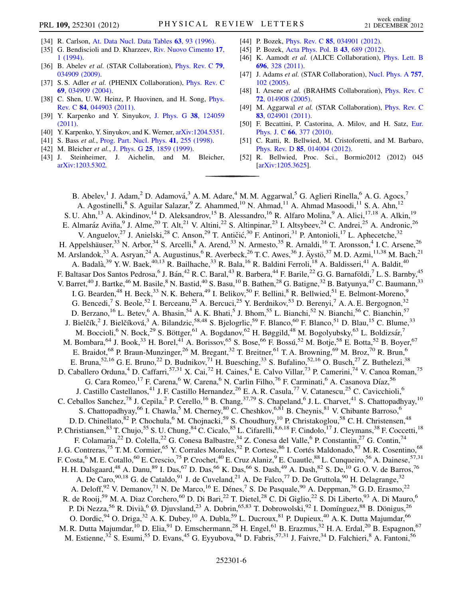- [34] R. Carlson, [At. Data Nucl. Data Tables](http://dx.doi.org/10.1006/adnd.1996.0010) 63, 93 (1996).
- <span id="page-5-0"></span>[35] G. Bendiscioli and D. Kharzeev, [Riv. Nuovo Cimento](http://dx.doi.org/10.1007/BF02724447) 17, [1 \(1994\).](http://dx.doi.org/10.1007/BF02724447)
- <span id="page-5-1"></span>[36] B. Abelev et al. (STAR Collaboration), *[Phys. Rev. C](http://dx.doi.org/10.1103/PhysRevC.79.034909)* 79, [034909 \(2009\)](http://dx.doi.org/10.1103/PhysRevC.79.034909).
- <span id="page-5-2"></span>[37] S. S. Adler et al. (PHENIX Collaboration), [Phys. Rev. C](http://dx.doi.org/10.1103/PhysRevC.69.034909) 69[, 034909 \(2004\)](http://dx.doi.org/10.1103/PhysRevC.69.034909).
- <span id="page-5-3"></span>[38] C. Shen, U.W. Heinz, P. Huovinen, and H. Song, *[Phys.](http://dx.doi.org/10.1103/PhysRevC.84.044903)* Rev. C 84[, 044903 \(2011\).](http://dx.doi.org/10.1103/PhysRevC.84.044903)
- <span id="page-5-4"></span>[39] Y. Karpenko and Y. Sinyukov, [J. Phys. G](http://dx.doi.org/10.1088/0954-3899/38/12/124059) 38, 124059 [\(2011\)](http://dx.doi.org/10.1088/0954-3899/38/12/124059).
- <span id="page-5-5"></span>[40] Y. Karpenko, Y. Sinyukov, and K. Werner, [arXiv:1204.5351.](http://arXiv.org/abs/1204.5351)
- <span id="page-5-6"></span>[41] S. Bass et al., [Prog. Part. Nucl. Phys.](http://dx.doi.org/10.1016/S0146-6410(98)00058-1) 41, 255 (1998).
- <span id="page-5-7"></span>[42] M. Bleicher et al., J. Phys. G 25[, 1859 \(1999\)](http://dx.doi.org/10.1088/0954-3899/25/9/308).
- <span id="page-5-8"></span>[43] J. Steinheimer, J. Aichelin, and M. Bleicher, [arXiv:1203.5302.](http://arXiv.org/abs/1203.5302)
- <span id="page-5-9"></span>[44] P. Bozek, *Phys. Rev. C* **85**[, 034901 \(2012\).](http://dx.doi.org/10.1103/PhysRevC.85.034901)
- <span id="page-5-10"></span>[45] P. Bozek, [Acta Phys. Pol. B](http://dx.doi.org/10.5506/APhysPolB.43.689) **43**, 689 (2012).
- <span id="page-5-11"></span>[46] K. Aamodt et al. (ALICE Collaboration), [Phys. Lett. B](http://dx.doi.org/10.1016/j.physletb.2010.12.053) 696[, 328 \(2011\).](http://dx.doi.org/10.1016/j.physletb.2010.12.053)
- <span id="page-5-12"></span>[47] J. Adams et al. (STAR Collaboration), [Nucl. Phys. A](http://dx.doi.org/10.1016/j.nuclphysa.2005.03.085) 757, [102 \(2005\)](http://dx.doi.org/10.1016/j.nuclphysa.2005.03.085).
- <span id="page-5-13"></span>[48] I. Arsene et al. (BRAHMS Collaboration), *[Phys. Rev. C](http://dx.doi.org/10.1103/PhysRevC.72.014908)* 72[, 014908 \(2005\)](http://dx.doi.org/10.1103/PhysRevC.72.014908).
- <span id="page-5-14"></span>[49] M. Aggarwal et al. (STAR Collaboration), *[Phys. Rev. C](http://dx.doi.org/10.1103/PhysRevC.83.024901)* 83[, 024901 \(2011\)](http://dx.doi.org/10.1103/PhysRevC.83.024901).
- <span id="page-5-15"></span>[50] F. Becattini, P. Castorina, A. Milov, and H. Satz, [Eur.](http://dx.doi.org/10.1140/epjc/s10052-010-1265-y) Phys. J. C 66[, 377 \(2010\)](http://dx.doi.org/10.1140/epjc/s10052-010-1265-y).
- <span id="page-5-16"></span>[51] C. Ratti, R. Bellwied, M. Cristoforetti, and M. Barbaro, Phys. Rev. D 85[, 014004 \(2012\).](http://dx.doi.org/10.1103/PhysRevD.85.014004)
- <span id="page-5-17"></span>[52] R. Bellwied, Proc. Sci., Bormio2012 (2012) 045 [\[arXiv:1205.3625\]](http://arXiv.org/abs/1205.3625).

B. Abelev,<sup>1</sup> J. Adam,<sup>2</sup> D. Adamová,<sup>3</sup> A. M. Adare,<sup>4</sup> M. M. Aggarwal,<sup>5</sup> G. Aglieri Rinella,<sup>6</sup> A. G. Agocs,<sup>7</sup> A. Agostinelli,<sup>8</sup> S. Aguilar Salazar,<sup>9</sup> Z. Ahammed,<sup>10</sup> N. Ahmad,<sup>11</sup> A. Ahmad Masoodi,<sup>11</sup> S. A. Ahn,<sup>12</sup> S. U. Ahn,<sup>13</sup> A. Akindinov,<sup>14</sup> D. Aleksandrov,<sup>15</sup> B. Alessandro,<sup>16</sup> R. Alfaro Molina,<sup>9</sup> A. Alici,<sup>17,18</sup> A. Alkin,<sup>19</sup> E. Almaráz Aviña, <sup>9</sup> J. Alme, <sup>20</sup> T. Alt, <sup>21</sup> V. Altini, <sup>22</sup> S. Altinpinar, <sup>23</sup> I. Altsybeev, <sup>24</sup> C. Andrei, <sup>25</sup> A. Andronic, <sup>26</sup> V. Anguelov,<sup>27</sup> J. Anielski,<sup>28</sup> C. Anson,<sup>29</sup> T. Antičić,<sup>30</sup> F. Antinori,<sup>31</sup> P. Antonioli,<sup>17</sup> L. Aphecetche,<sup>32</sup> H. Appelshäuser,<sup>33</sup> N. Arbor,<sup>34</sup> S. Arcelli,<sup>8</sup> A. Arend,<sup>33</sup> N. Armesto,<sup>35</sup> R. Arnaldi,<sup>16</sup> T. Aronsson,<sup>4</sup> I.C. Arsene,<sup>26</sup> M. Arslandok,<sup>33</sup> A. Asryan,<sup>24</sup> A. Augustinus,<sup>6</sup> R. Averbeck,<sup>26</sup> T. C. Awes,<sup>36</sup> J. Äystö,<sup>37</sup> M. D. Azmi,<sup>11,38</sup> M. Bach,<sup>21</sup> A. Badalà,<sup>39</sup> Y.W. Baek,<sup>40,13</sup> R. Bailhache,<sup>33</sup> R. Bala,<sup>16</sup> R. Baldini Ferroli,<sup>18</sup> A. Baldisseri,<sup>41</sup> A. Baldit,<sup>40</sup> F. Baltasar Dos Santos Pedrosa,<sup>6</sup> J. Bán,<sup>42</sup> R. C. Baral,<sup>43</sup> R. Barbera,<sup>44</sup> F. Barile,<sup>22</sup> G. G. Barnaföldi,<sup>7</sup> L. S. Barnby,<sup>45</sup> V. Barret, <sup>40</sup> J. Bartke, <sup>46</sup> M. Basile, <sup>8</sup> N. Bastid, <sup>40</sup> S. Basu, <sup>10</sup> B. Bathen, <sup>28</sup> G. Batigne, <sup>32</sup> B. Batyunya, <sup>47</sup> C. Baumann, <sup>33</sup> I. G. Bearden,  $^{48}$  H. Beck,  $^{33}$  N. K. Behera,  $^{49}$  I. Belikov,  $^{50}$  F. Bellini,  $^{8}$  R. Bellwied,  $^{51}$  E. Belmont-Moreno,  $^{9}$ G. Bencedi,<sup>7</sup> S. Beole,<sup>52</sup> I. Berceanu,<sup>25</sup> A. Bercuci,<sup>25</sup> Y. Berdnikov,<sup>53</sup> D. Berenyi,<sup>7</sup> A. A. E. Bergognon,<sup>32</sup> D. Berzano,<sup>16</sup> L. Betev,<sup>6</sup> A. Bhasin,<sup>54</sup> A. K. Bhati,<sup>5</sup> J. Bhom,<sup>55</sup> L. Bianchi,<sup>52</sup> N. Bianchi,<sup>56</sup> C. Bianchin,<sup>57</sup> J. Bielčík,<sup>2</sup> J. Bielčíková,<sup>3</sup> A. Bilandzic,<sup>58,48</sup> S. Bjelogrlic,<sup>59</sup> F. Blanco,<sup>60</sup> F. Blanco,<sup>51</sup> D. Blau,<sup>15</sup> C. Blume,<sup>33</sup> M. Boccioli,<sup>6</sup> N. Bock,<sup>29</sup> S. Böttger,<sup>61</sup> A. Bogdanov,<sup>62</sup> H. Bøggild,<sup>48</sup> M. Bogolyubsky,<sup>63</sup> L. Boldizsár,<sup>7</sup> M. Bombara,<sup>64</sup> J. Book,<sup>33</sup> H. Borel,<sup>41</sup> A. Borissov,<sup>65</sup> S. Bose,<sup>66</sup> F. Bossú,<sup>52</sup> M. Botje,<sup>58</sup> E. Botta,<sup>52</sup> B. Boyer,<sup>67</sup> E. Braidot,<sup>68</sup> P. Braun-Munzinger,<sup>26</sup> M. Bregant,<sup>32</sup> T. Breitner,<sup>61</sup> T. A. Browning,<sup>69</sup> M. Broz,<sup>70</sup> R. Brun,<sup>6</sup> E. Bruna,  $52,16$  G. E. Bruno,  $22$  D. Budnikov,  $71$  H. Buesching,  $33$  S. Bufalino,  $52,16$  O. Busch,  $27$  Z. Buthelezi,  $38$ D. Caballero Orduna,<sup>4</sup> D. Caffarri,<sup>57,31</sup> X. Cai,<sup>72</sup> H. Caines,<sup>4</sup> E. Calvo Villar,<sup>73</sup> P. Camerini,<sup>74</sup> V. Canoa Roman,<sup>75</sup> G. Cara Romeo,<sup>17</sup> F. Carena,<sup>6</sup> W. Carena,<sup>6</sup> N. Carlin Filho,<sup>76</sup> F. Carminati,<sup>6</sup> A. Casanova Díaz,<sup>56</sup> J. Castillo Castellanos,<sup>41</sup> J. F. Castillo Hernandez,<sup>26</sup> E. A. R. Casula,<sup>77</sup> V. Catanescu,<sup>25</sup> C. Cavicchioli,<sup>6</sup> C. Ceballos Sanchez,<sup>78</sup> J. Cepila,<sup>2</sup> P. Cerello,<sup>16</sup> B. Chang,<sup>37,79</sup> S. Chapeland,<sup>6</sup> J. L. Charvet,<sup>41</sup> S. Chattopadhyay,<sup>10</sup> S. Chattopadhyay, <sup>66</sup> I. Chawla, <sup>5</sup> M. Cherney, <sup>80</sup> C. Cheshkov, <sup>6,81</sup> B. Cheynis, <sup>81</sup> V. Chibante Barroso, <sup>6</sup> D. D. Chinellato, <sup>82</sup> P. Chochula, <sup>6</sup> M. Chojnacki, <sup>59</sup> S. Choudhury, <sup>10</sup> P. Christakoglou, <sup>58</sup> C. H. Christensen, <sup>48</sup> P. Christiansen, <sup>83</sup> T. Chujo, <sup>55</sup> S. U. Chung, <sup>84</sup> C. Cicalo, <sup>85</sup> L. Cifarelli, <sup>8,6,18</sup> F. Cindolo, <sup>17</sup> J. Cleymans, <sup>38</sup> F. Coccetti, <sup>18</sup> F. Colamaria,<sup>22</sup> D. Colella,<sup>22</sup> G. Conesa Balbastre,<sup>34</sup> Z. Conesa del Valle,<sup>6</sup> P. Constantin,<sup>27</sup> G. Contin,<sup>74</sup> J. G. Contreras,<sup>75</sup> T. M. Cormier,<sup>65</sup> Y. Corrales Morales,<sup>52</sup> P. Cortese,<sup>86</sup> I. Cortés Maldonado,<sup>87</sup> M. R. Cosentino,<sup>68</sup> F. Costa,<sup>6</sup> M. E. Cotallo,<sup>60</sup> E. Crescio,<sup>75</sup> P. Crochet,<sup>40</sup> E. Cruz Alaniz,<sup>9</sup> E. Cuautle,<sup>88</sup> L. Cunqueiro,<sup>56</sup> A. Dainese,<sup>57,31</sup> H. H. Dalsgaard,<sup>48</sup> A. Danu,<sup>89</sup> I. Das,<sup>67</sup> D. Das,<sup>66</sup> K. Das,<sup>66</sup> S. Dash,<sup>49</sup> A. Dash,<sup>82</sup> S. De,<sup>10</sup> G. O. V. de Barros,<sup>76</sup> A. De Caro,  $90,18$  G. de Cataldo,  $91$  J. de Cuveland,  $21$  A. De Falco,  $77$  D. De Gruttola,  $90$  H. Delagrange,  $32$ A. Deloff,<sup>92</sup> V. Demanov,<sup>71</sup> N. De Marco,<sup>16</sup> E. Dénes,<sup>7</sup> S. De Pasquale,<sup>90</sup> A. Deppman,<sup>76</sup> G. D. Erasmo,<sup>22</sup> R. de Rooij,<sup>59</sup> M. A. Diaz Corchero,<sup>60</sup> D. Di Bari,<sup>22</sup> T. Dietel,<sup>28</sup> C. Di Giglio,<sup>22</sup> S. Di Liberto,<sup>93</sup> A. Di Mauro,<sup>6</sup> P. Di Nezza,<sup>56</sup> R. Divià,<sup>6</sup> Ø. Djuvsland,<sup>23</sup> A. Dobrin,<sup>65,83</sup> T. Dobrowolski,<sup>92</sup> I. Domínguez,<sup>88</sup> B. Dönigus,<sup>26</sup> O. Dordic, <sup>94</sup> O. Driga, <sup>32</sup> A. K. Dubey, <sup>10</sup> A. Dubla, <sup>59</sup> L. Ducroux, <sup>81</sup> P. Dupieux, <sup>40</sup> A. K. Dutta Majumdar, <sup>66</sup> M. R. Dutta Majumdar,<sup>10</sup> D. Elia,<sup>91</sup> D. Emschermann,<sup>28</sup> H. Engel,<sup>61</sup> B. Erazmus,<sup>32</sup> H. A. Erdal,<sup>20</sup> B. Espagnon,<sup>67</sup> M. Estienne,<sup>32</sup> S. Esumi,<sup>55</sup> D. Evans,<sup>45</sup> G. Eyyubova,<sup>94</sup> D. Fabris,<sup>57,31</sup> J. Faivre,<sup>34</sup> D. Falchieri,<sup>8</sup> A. Fantoni,<sup>56</sup>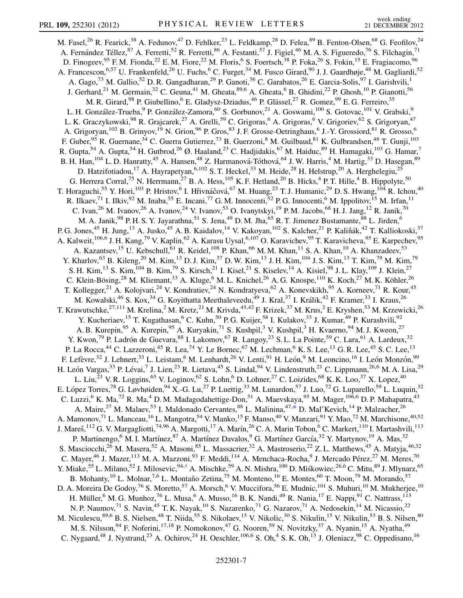<span id="page-6-1"></span><span id="page-6-0"></span>M. Fasel,<sup>26</sup> R. Fearick,<sup>38</sup> A. Fedunov,<sup>47</sup> D. Fehlker,<sup>23</sup> L. Feldkamp,<sup>28</sup> D. Felea,<sup>89</sup> B. Fenton-Olsen,<sup>68</sup> G. Feofilov,<sup>24</sup> A. Fernández Téllez,<sup>87</sup> A. Ferretti,<sup>52</sup> R. Ferretti,<sup>86</sup> A. Festanti,<sup>57</sup> J. Figiel,<sup>46</sup> M. A. S. Figueredo,<sup>76</sup> S. Filchagin,<sup>71</sup> D. Finogeev,<sup>95</sup> F. M. Fionda,<sup>22</sup> E. M. Fiore,<sup>22</sup> M. Floris,<sup>6</sup> S. Foertsch,<sup>38</sup> P. Foka,<sup>26</sup> S. Fokin,<sup>15</sup> E. Fragiacomo,<sup>96</sup> A. Francescon,<sup>6,57</sup> U. Frankenfeld,<sup>26</sup> U. Fuchs,<sup>6</sup> C. Furget,<sup>34</sup> M. Fusco Girard,<sup>90</sup> J. J. Gaardhøje,<sup>48</sup> M. Gagliardi,<sup>52</sup> A. Gago,<sup>73</sup> M. Gallio,<sup>52</sup> D. R. Gangadharan,<sup>29</sup> P. Ganoti,<sup>36</sup> C. Garabatos,<sup>26</sup> E. Garcia-Solis,<sup>97</sup> I. Garishvili,<sup>1</sup> J. Gerhard,<sup>21</sup> M. Germain,<sup>32</sup> C. Geuna,<sup>41</sup> M. Gheata,<sup>89,6</sup> A. Gheata,<sup>6</sup> B. Ghidini,<sup>22</sup> P. Ghosh,<sup>10</sup> P. Gianotti,<sup>56</sup> M. R. Girard,<sup>98</sup> P. Giubellino,<sup>6</sup> E. Gladysz-Dziadus,<sup>46</sup> P. Glässel,<sup>27</sup> R. Gomez,<sup>99</sup> E. G. Ferreiro,<sup>35</sup> L. H. González-Trueba,<sup>9</sup> P. González-Zamora,<sup>60</sup> S. Gorbunov,<sup>21</sup> A. Goswami,<sup>100</sup> S. Gotovac,<sup>101</sup> V. Grabski,<sup>9</sup> L. K. Graczykowski,<sup>98</sup> R. Grajcarek,<sup>27</sup> A. Grelli,<sup>59</sup> C. Grigoras,<sup>6</sup> A. Grigoras,<sup>6</sup> V. Grigoriev,<sup>62</sup> S. Grigoryan,<sup>47</sup> A. Grigoryan,<sup>102</sup> B. Grinyov,<sup>19</sup> N. Grion,<sup>96</sup> P. Gros,<sup>83</sup> J. F. Grosse-Oetringhaus,<sup>6</sup> J.-Y. Grossiord,<sup>81</sup> R. Grosso,<sup>6</sup> F. Guber, <sup>95</sup> R. Guernane, <sup>34</sup> C. Guerra Gutierrez, <sup>73</sup> B. Guerzoni, <sup>8</sup> M. Guilbaud, <sup>81</sup> K. Gulbrandsen, <sup>48</sup> T. Gunji, <sup>103</sup> R. Gupta,<sup>54</sup> A. Gupta,<sup>54</sup> H. Gutbrod,<sup>26</sup> Ø. Haaland,<sup>23</sup> C. Hadjidakis,<sup>67</sup> M. Haiduc,<sup>89</sup> H. Hamagaki,<sup>103</sup> G. Hamar,<sup>7</sup> B. H. Han,<sup>104</sup> L. D. Hanratty,<sup>45</sup> A. Hansen,<sup>48</sup> Z. Harmanová-Tóthová,<sup>64</sup> J. W. Harris,<sup>4</sup> M. Hartig,<sup>33</sup> D. Hasegan,<sup>89</sup> D. Hatzifotiadou,<sup>17</sup> A. Hayrapetyan,<sup>6,102</sup> S. T. Heckel,<sup>33</sup> M. Heide,<sup>28</sup> H. Helstrup,<sup>20</sup> A. Herghelegiu,<sup>25</sup> G. Herrera Corral,<sup>75</sup> N. Herrmann,<sup>27</sup> B. A. Hess,<sup>105</sup> K. F. Hetland,<sup>20</sup> B. Hicks,<sup>4</sup> P. T. Hille,<sup>4</sup> B. Hippolyte,<sup>50</sup> T. Horaguchi,<sup>55</sup> Y. Hori,<sup>103</sup> P. Hristov,<sup>6</sup> I. Hřivnáčová,<sup>67</sup> M. Huang,<sup>23</sup> T. J. Humanic,<sup>29</sup> D. S. Hwang,<sup>104</sup> R. Ichou,<sup>40</sup> R. Ilkaev,<sup>71</sup> I. Ilkiv,<sup>92</sup> M. Inaba,<sup>55</sup> E. Incani,<sup>77</sup> G. M. Innocenti,<sup>52</sup> P. G. Innocenti,<sup>6</sup> M. Ippolitov,<sup>15</sup> M. Irfan,<sup>11</sup> C. Ivan,<sup>26</sup> M. Ivanov,<sup>26</sup> A. Ivanov,<sup>24</sup> V. Ivanov,<sup>53</sup> O. Ivanytskyi,<sup>19</sup> P.M. Jacobs,<sup>68</sup> H. J. Jang,<sup>12</sup> R. Janik,<sup>70</sup> M. A. Janik, <sup>98</sup> P. H. S. Y. Jayarathna, 51 S. Jena, <sup>49</sup> D. M. Jha, <sup>65</sup> R. T. Jimenez Bustamante, <sup>88</sup> L. Jirden, <sup>6</sup> P. G. Jones,<sup>45</sup> H. Jung,<sup>13</sup> A. Jusko,<sup>45</sup> A. B. Kaidalov,<sup>14</sup> V. Kakoyan,<sup>102</sup> S. Kalcher,<sup>21</sup> P. Kaliňák,<sup>42</sup> T. Kalliokoski,<sup>37</sup> A. Kalweit,<sup>106,6</sup> J. H. Kang,<sup>79</sup> V. Kaplin,<sup>62</sup> A. Karasu Uysal,<sup>6,107</sup> O. Karavichev,<sup>95</sup> T. Karavicheva,<sup>95</sup> E. Karpechev,<sup>95</sup> A. Kazantsev,<sup>15</sup> U. Kebschull,<sup>61</sup> R. Keidel,<sup>108</sup> P. Khan,<sup>66</sup> M. M. Khan,<sup>11</sup> S. A. Khan,<sup>10</sup> A. Khanzadeev,<sup>53</sup> Y. Kharlov, <sup>63</sup> B. Kileng, <sup>20</sup> M. Kim, <sup>13</sup> D. J. Kim, <sup>37</sup> D. W. Kim, <sup>13</sup> J. H. Kim, <sup>104</sup> J. S. Kim, <sup>13</sup> T. Kim, <sup>79</sup> M. Kim, <sup>79</sup> S. H. Kim,  $^{13}$  S. Kim,  $^{104}$  B. Kim,  $^{79}$  S. Kirsch,  $^{21}$  I. Kisel,  $^{21}$  S. Kiselev,  $^{14}$  A. Kisiel,  $^{98}$  J. L. Klay,  $^{109}$  J. Klein,  $^{27}$ C. Klein-Bösing,<sup>28</sup> M. Kliemant,<sup>33</sup> A. Kluge,<sup>6</sup> M. L. Knichel,<sup>26</sup> A. G. Knospe,<sup>110</sup> K. Koch,<sup>27</sup> M. K. Köhler,<sup>26</sup> T. Kollegger,<sup>21</sup> A. Kolojvari,<sup>24</sup> V. Kondratiev,<sup>24</sup> N. Kondratyeva,<sup>62</sup> A. Konevskikh,<sup>95</sup> A. Korneev,<sup>71</sup> R. Kour,<sup>45</sup> M. Kowalski,<sup>46</sup> S. Kox,<sup>34</sup> G. Koyithatta Meethaleveedu,<sup>49</sup> J. Kral,<sup>37</sup> I. Králik,<sup>42</sup> F. Kramer,<sup>33</sup> I. Kraus,<sup>26</sup> T. Krawutschke, $^{27,111}$  M. Krelina, $^2$  M. Kretz, $^{21}$  M. Krivda, $^{45,42}$  F. Krizek, $^{37}$  M. Krus, $^2$  E. Kryshen, $^{53}$  M. Krzewicki, $^{26}$ Y. Kucheriaev,<sup>15</sup> T. Kugathasan,<sup>6</sup> C. Kuhn,<sup>50</sup> P. G. Kuijer,<sup>58</sup> I. Kulakov,<sup>33</sup> J. Kumar,<sup>49</sup> P. Kurashvili,<sup>92</sup> A. B. Kurepin,<sup>95</sup> A. Kurepin,<sup>95</sup> A. Kuryakin,<sup>71</sup> S. Kushpil,<sup>3</sup> V. Kushpil,<sup>3</sup> H. Kvaerno,<sup>94</sup> M. J. Kweon,<sup>27</sup> Y. Kwon,<sup>79</sup> P. Ladrón de Guevara, <sup>88</sup> I. Lakomov, <sup>67</sup> R. Langoy, <sup>23</sup> S. L. La Pointe, <sup>59</sup> C. Lara, <sup>61</sup> A. Lardeux, <sup>32</sup> P. La Rocca,<sup>44</sup> C. Lazzeroni,<sup>45</sup> R. Lea,<sup>74</sup> Y. Le Bornec,<sup>67</sup> M. Lechman,<sup>6</sup> K. S. Lee,<sup>13</sup> G. R. Lee,<sup>45</sup> S. C. Lee,<sup>13</sup> F. Lefèvre,<sup>32</sup> J. Lehnert,<sup>33</sup> L. Leistam,<sup>6</sup> M. Lenhardt,<sup>26</sup> V. Lenti,<sup>91</sup> H. León,<sup>9</sup> M. Leoncino,<sup>16</sup> I. León Monzón,<sup>99</sup> H. León Vargas,<sup>33</sup> P. Lévai,<sup>7</sup> J. Lien,<sup>23</sup> R. Lietava,<sup>45</sup> S. Lindal,<sup>94</sup> V. Lindenstruth,<sup>21</sup> C. Lippmann,<sup>26,6</sup> M. A. Lisa,<sup>29</sup> L. Liu,<sup>23</sup> V. R. Loggins,<sup>65</sup> V. Loginov,<sup>62</sup> S. Lohn,<sup>6</sup> D. Lohner,<sup>27</sup> C. Loizides,<sup>68</sup> K. K. Loo,<sup>37</sup> X. Lopez,<sup>40</sup> E. Lud, V.K. Loggino, V. Logino, S. Lom, 21 Luni, S. Luni, S. Luni, S. Luo,  $^{27}$  G. Luparello,<sup>59</sup> L. Luquin,<sup>32</sup> G. Luparello,<sup>59</sup> L. Luquin,<sup>32</sup> C. Luzzi,<sup>6</sup> K. Ma,<sup>72</sup> R. Ma,<sup>4</sup> D. M. Madagodahettige-Don,<sup>51</sup> A. Maevskaya,<sup>95</sup> M. Mager,<sup>106,6</sup> D. P. Mahapatra,<sup>43</sup> A. Maire,<sup>27</sup> M. Malaev,<sup>53</sup> I. Maldonado Cervantes,<sup>88</sup> L. Malinina,<sup>47[,\\*](#page-10-0)</sup> D. Mal'Kevich,<sup>14</sup> P. Malzacher,<sup>26</sup> A. Mamonov,<sup>71</sup> L. Manceau,<sup>16</sup> L. Mangotra,<sup>54</sup> V. Manko,<sup>15</sup> F. Manso,<sup>40</sup> V. Manzari,<sup>91</sup> Y. Mao,<sup>72</sup> M. Marchisone,<sup>40,52</sup> J. Mareš, 112 G. V. Margagliotti, <sup>74,96</sup> A. Margotti, <sup>17</sup> A. Marín, <sup>26</sup> C. A. Marin Tobon, <sup>6</sup> C. Markert, <sup>110</sup> I. Martashvili, <sup>113</sup> P. Martinengo,  $6$  M. I. Martínez,  $87$  A. Martínez Davalos,  $9$  G. Martínez García, $32$  Y. Martynov,<sup>19</sup> A. Mas,  $32$ S. Masciocchi,<sup>26</sup> M. Masera,<sup>52</sup> A. Masoni,<sup>85</sup> L. Massacrier,<sup>32</sup> A. Mastroserio,<sup>22</sup> Z. L. Matthews,<sup>45</sup> A. Matyja,<sup>46,32</sup> C. Mayer,<sup>46</sup> J. Mazer,<sup>113</sup> M. A. Mazzoni,<sup>93</sup> F. Meddi,<sup>114</sup> A. Menchaca-Rocha,<sup>9</sup> J. Mercado Pérez,<sup>27</sup> M. Meres,<sup>70</sup> Y. Miake,<sup>55</sup> L. Milano,<sup>52</sup> J. Milosevic,<sup>94[,†](#page-10-1)</sup> A. Mischke,<sup>59</sup> A. N. Mishra,<sup>100</sup> D. Miśkowiec,<sup>26,6</sup> C. Mitu,<sup>89</sup> J. Mlynarz,<sup>65</sup> B. Mohanty,<sup>10</sup> L. Molnar,<sup>7,6</sup> L. Montaño Zetina,<sup>75</sup> M. Monteno,<sup>16</sup> E. Montes,<sup>60</sup> T. Moon,<sup>79</sup> M. Morando,<sup>57</sup> D. A. Moreira De Godoy,<sup>76</sup> S. Moretto,<sup>57</sup> A. Morsch,<sup>6</sup> V. Muccifora,<sup>56</sup> E. Mudnic,<sup>101</sup> S. Muhuri,<sup>10</sup> M. Mukherjee,<sup>10</sup> H. Müller,<sup>6</sup> M. G. Munhoz,<sup>76</sup> L. Musa,<sup>6</sup> A. Musso,<sup>16</sup> B. K. Nandi,<sup>49</sup> R. Nania,<sup>17</sup> E. Nappi,<sup>91</sup> C. Nattrass,<sup>113</sup> N. P. Naumov,<sup>71</sup> S. Navin,<sup>45</sup> T. K. Nayak,<sup>10</sup> S. Nazarenko,<sup>71</sup> G. Nazarov,<sup>71</sup> A. Nedosekin,<sup>14</sup> M. Nicassio,<sup>22</sup> M. Niculescu, <sup>89,6</sup> B. S. Nielsen, <sup>48</sup> T. Niida, <sup>55</sup> S. Nikolaev, <sup>15</sup> V. Nikolic, <sup>30</sup> S. Nikulin, <sup>15</sup> V. Nikulin, <sup>53</sup> B. S. Nilsen, <sup>80</sup> M. S. Nilsson, <sup>94</sup> F. Noferini, <sup>17,18</sup> P. Nomokonov, <sup>47</sup> G. Nooren, <sup>59</sup> N. Novitzky, <sup>37</sup> A. Nyanin, <sup>15</sup> A. Nyatha, <sup>49</sup> C. Nygaard,<sup>48</sup> J. Nystrand,<sup>23</sup> A. Ochirov,<sup>24</sup> H. Oeschler,<sup>106,6</sup> S. Oh,<sup>4</sup> S. K. Oh,<sup>13</sup> J. Oleniacz,<sup>98</sup> C. Oppedisano,<sup>16</sup>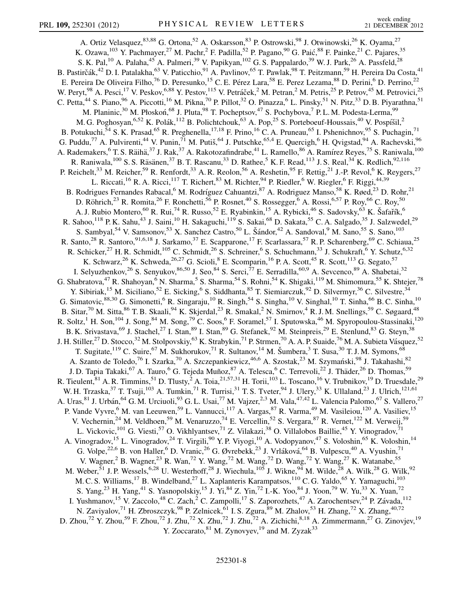A. Ortiz Velasquez, <sup>83,88</sup> G. Ortona, <sup>52</sup> A. Oskarsson, <sup>83</sup> P. Ostrowski, <sup>98</sup> J. Otwinowski, <sup>26</sup> K. Oyama, <sup>27</sup> K. Ozawa,  $^{103}$  Y. Pachmayer,  $^{27}$  M. Pachr,  $^2$  F. Padilla,  $^{52}$  P. Pagano,  $^{90}$  G. Paić,  $^{88}$  F. Painke,  $^{21}$  C. Pajares,  $^{35}$ S. K. Pal,<sup>10</sup> A. Palaha,<sup>45</sup> A. Palmeri,<sup>39</sup> V. Papikyan,<sup>102</sup> G. S. Pappalardo,<sup>39</sup> W. J. Park,<sup>26</sup> A. Passfeld,<sup>28</sup> B. Pastirčák,<sup>42</sup> D. I. Patalakha,<sup>63</sup> V. Paticchio,<sup>91</sup> A. Pavlinov,<sup>65</sup> T. Pawlak,<sup>98</sup> T. Peitzmann,<sup>59</sup> H. Pereira Da Costa,<sup>41</sup> E. Pereira De Oliveira Filho,<sup>76</sup> D. Peresunko,<sup>15</sup> C. E. Pérez Lara,<sup>58</sup> E. Perez Lezama,<sup>88</sup> D. Perini,<sup>6</sup> D. Perrino,<sup>22</sup> W. Peryt,<sup>98</sup> A. Pesci,<sup>17</sup> V. Peskov,<sup>6,88</sup> Y. Pestov,<sup>115</sup> V. Petráček,<sup>2</sup> M. Petran,<sup>2</sup> M. Petris,<sup>25</sup> P. Petrov,<sup>45</sup> M. Petrovici,<sup>25</sup> C. Petta,<sup>44</sup> S. Piano,<sup>96</sup> A. Piccotti,<sup>16</sup> M. Pikna,<sup>70</sup> P. Pillot,<sup>32</sup> O. Pinazza,<sup>6</sup> L. Pinsky,<sup>51</sup> N. Pitz,<sup>33</sup> D. B. Piyarathna,<sup>51</sup> M. Planinic, <sup>30</sup> M. Płoskoń, <sup>68</sup> J. Pluta, <sup>98</sup> T. Pocheptsov, <sup>47</sup> S. Pochybova, <sup>7</sup> P. L. M. Podesta-Lerma, <sup>99</sup> M. G. Poghosyan, <sup>6,52</sup> K. Polák, <sup>112</sup> B. Polichtchouk, <sup>63</sup> A. Pop, <sup>25</sup> S. Porteboeuf-Houssais, <sup>40</sup> V. Pospíšil, <sup>2</sup> B. Potukuchi, 54 S. K. Prasad, <sup>65</sup> R. Preghenella, <sup>17,18</sup> F. Prino, <sup>16</sup> C. A. Pruneau, <sup>65</sup> I. Pshenichnov, <sup>95</sup> S. Puchagin, <sup>71</sup> G. Puddu,<sup>77</sup> A. Pulvirenti,<sup>44</sup> V. Punin,<sup>71</sup> M. Putiš,<sup>64</sup> J. Putschke,<sup>65,4</sup> E. Quercigh,<sup>6</sup> H. Qvigstad,<sup>94</sup> A. Rachevski,<sup>96</sup> A. Rademakers, <sup>6</sup> T. S. Räihä, <sup>37</sup> J. Rak, <sup>37</sup> A. Rakotozafindrabe, <sup>41</sup> L. Ramello, <sup>86</sup> A. Ramírez Reyes, <sup>75</sup> S. Raniwala, <sup>100</sup> R. Raniwala,<sup>100</sup> S. S. Räsänen,<sup>37</sup> B. T. Rascanu,<sup>33</sup> D. Rathee,<sup>5</sup> K. F. Read,<sup>113</sup> J. S. Real,<sup>34</sup> K. Redlich,<sup>92,116</sup> P. Reichelt,<sup>33</sup> M. Reicher,<sup>59</sup> R. Renfordt,<sup>33</sup> A. R. Reolon,<sup>56</sup> A. Reshetin,<sup>95</sup> F. Rettig,<sup>21</sup> J.-P. Revol,<sup>6</sup> K. Reygers,<sup>27</sup> L. Riccati,<sup>16</sup> R. A. Ricci,<sup>117</sup> T. Richert,<sup>83</sup> M. Richter,<sup>94</sup> P. Riedler,<sup>6</sup> W. Riegler,<sup>6</sup> F. Riggi,<sup>44,39</sup> B. Rodrigues Fernandes Rabacal,<sup>6</sup> M. Rodríguez Cahuantzi,<sup>87</sup> A. Rodriguez Manso,<sup>58</sup> K. Røed,<sup>23</sup> D. Rohr,<sup>21</sup> D. Röhrich,<sup>23</sup> R. Romita,<sup>26</sup> F. Ronchetti,<sup>56</sup> P. Rosnet,<sup>40</sup> S. Rossegger,<sup>6</sup> A. Rossi,<sup>6,57</sup> P. Roy,<sup>66</sup> C. Roy,<sup>50</sup> A. J. Rubio Montero,<sup>60</sup> R. Rui,<sup>74</sup> R. Russo,<sup>52</sup> E. Ryabinkin,<sup>15</sup> A. Rybicki,<sup>46</sup> S. Sadovsky,<sup>63</sup> K. Šafařík,<sup>6</sup> R. Sahoo, <sup>118</sup> P. K. Sahu, <sup>43</sup> J. Saini, <sup>10</sup> H. Sakaguchi, <sup>119</sup> S. Sakai, <sup>68</sup> D. Sakata, <sup>55</sup> C. A. Salgado, <sup>35</sup> J. Salzwedel, <sup>29</sup> S. Sambyal,<sup>54</sup> V. Samsonov,<sup>53</sup> X. Sanchez Castro,<sup>50</sup> L. Šándor,<sup>42</sup> A. Sandoval,<sup>9</sup> M. Sano,<sup>55</sup> S. Sano,<sup>103</sup> R. Santo,<sup>28</sup> R. Santoro,<sup>91,6,18</sup> J. Sarkamo,<sup>37</sup> E. Scapparone,<sup>17</sup> F. Scarlassara,<sup>57</sup> R. P. Scharenberg,<sup>69</sup> C. Schiaua,<sup>25</sup> R. Schicker,<sup>27</sup> H. R. Schmidt,<sup>105</sup> C. Schmidt,<sup>26</sup> S. Schreiner,<sup>6</sup> S. Schuchmann,<sup>33</sup> J. Schukraft,<sup>6</sup> Y. Schutz,<sup>6,32</sup> K. Schwarz,  $^{26}$  K. Schweda,  $^{26,27}$  G. Scioli,  $^8$  E. Scomparin,  $^{16}$  P. A. Scott,  $^{45}$  R. Scott,  $^{113}$  G. Segato,  $^{57}$ I. Selyuzhenkov,<sup>26</sup> S. Senyukov,<sup>86,50</sup> J. Seo,<sup>84</sup> S. Serci,<sup>77</sup> E. Serradilla,<sup>60,9</sup> A. Sevcenco,<sup>89</sup> A. Shabetai,<sup>32</sup> G. Shabratova,<sup>47</sup> R. Shahoyan,<sup>6</sup> N. Sharma,<sup>5</sup> S. Sharma,<sup>54</sup> S. Rohni,<sup>54</sup> K. Shigaki,<sup>119</sup> M. Shimomura,<sup>55</sup> K. Shtejer,<sup>78</sup> Y. Sibiriak,<sup>15</sup> M. Siciliano,<sup>52</sup> E. Sicking,<sup>6</sup> S. Siddhanta,<sup>85</sup> T. Siemiarczuk,<sup>92</sup> D. Silvermyr,<sup>36</sup> C. Silvestre,<sup>34</sup> G. Simatovic,  $88,30$  G. Simonetti,  $6$  R. Singaraju,  $10$  R. Singh,  $54$  S. Singha,  $10$  V. Singhal,  $10$  T. Sinha,  $66$  B. C. Sinha,  $10$ B. Sitar,<sup>70</sup> M. Sitta,<sup>86</sup> T. B. Skaali,<sup>94</sup> K. Skjerdal,<sup>23</sup> R. Smakal,<sup>2</sup> N. Smirnov,<sup>4</sup> R. J. M. Snellings,<sup>59</sup> C. Søgaard,<sup>48</sup> R. Soltz,<sup>1</sup> H. Son,<sup>104</sup> J. Song,<sup>84</sup> M. Song,<sup>79</sup> C. Soos,<sup>6</sup> F. Soramel,<sup>57</sup> I. Sputowska,<sup>46</sup> M. Spyropoulou-Stassinaki,<sup>120</sup> B. K. Srivastava, <sup>69</sup> J. Stachel, <sup>27</sup> I. Stan, <sup>89</sup> I. Stan, <sup>89</sup> G. Stefanek, <sup>92</sup> M. Steinpreis, <sup>29</sup> E. Stenlund, <sup>83</sup> G. Steyn, <sup>38</sup> J. H. Stiller,<sup>27</sup> D. Stocco,<sup>32</sup> M. Stolpovskiy,<sup>63</sup> K. Strabykin,<sup>71</sup> P. Strmen,<sup>70</sup> A. A. P. Suaide,<sup>76</sup> M. A. Subieta Vásquez,<sup>52</sup> T. Sugitate,<sup>119</sup> C. Suire,<sup>67</sup> M. Sukhorukov,<sup>71</sup> R. Sultanov,<sup>14</sup> M. Šumbera,<sup>3</sup> T. Susa,<sup>30</sup> T. J. M. Symons,<sup>68</sup> A. Szanto de Toledo,<sup>76</sup> I. Szarka,<sup>70</sup> A. Szczepankiewicz,<sup>46,6</sup> A. Szostak,<sup>23</sup> M. Szymański,<sup>98</sup> J. Takahashi,<sup>82</sup> J. D. Tapia Takaki,<sup>67</sup> A. Tauro,<sup>6</sup> G. Tejeda Muñoz,<sup>87</sup> A. Telesca,<sup>6</sup> C. Terrevoli,<sup>22</sup> J. Thäder,<sup>26</sup> D. Thomas,<sup>59</sup> R. Tieulent, <sup>81</sup> A. R. Timmins, <sup>51</sup> D. Tlusty, <sup>2</sup> A. Toia, <sup>21,57,31</sup> H. Torii, <sup>103</sup> L. Toscano, <sup>16</sup> V. Trubnikov, <sup>19</sup> D. Truesdale, <sup>29</sup> W. H. Trzaska,  $37$  T. Tsuji,  $103$  A. Tumkin,  $71$  R. Turrisi,  $31$  T. S. Tveter,  $94$  J. Ulery,  $33$  K. Ullaland,  $23$  J. Ulrich,  $121,61$ A. Uras, <sup>81</sup> J. Urbán, <sup>64</sup> G. M. Urciuoli, <sup>93</sup> G. L. Usai, <sup>77</sup> M. Vajzer, <sup>2,3</sup> M. Vala, <sup>47,42</sup> L. Valencia Palomo, <sup>67</sup> S. Vallero, <sup>27</sup> P. Vande Vyvre,<sup>6</sup> M. van Leeuwen,<sup>59</sup> L. Vannucci,<sup>117</sup> A. Vargas,<sup>87</sup> R. Varma,<sup>49</sup> M. Vasileiou,<sup>120</sup> A. Vasiliev,<sup>15</sup> V. Vechernin,<sup>24</sup> M. Veldhoen,<sup>59</sup> M. Venaruzzo,<sup>74</sup> E. Vercellin,<sup>52</sup> S. Vergara,<sup>87</sup> R. Vernet,<sup>122</sup> M. Verweij,<sup>59</sup> L. Vickovic,<sup>101</sup> G. Viesti,<sup>57</sup> O. Vikhlyantsev,<sup>71</sup> Z. Vilakazi,<sup>38</sup> O. Villalobos Baillie,<sup>45</sup> Y. Vinogradov,<sup>71</sup> A. Vinogradov,<sup>15</sup> L. Vinogradov,<sup>24</sup> T. Virgili,<sup>90</sup> Y. P. Viyogi,<sup>10</sup> A. Vodopyanov,<sup>47</sup> S. Voloshin,<sup>65</sup> K. Voloshin,<sup>14</sup> G. Volpe,  $^{22,6}$  B. von Haller, <sup>6</sup> D. Vranic,  $^{26}$  G. Øvrebekk,  $^{23}$  J. Vrláková,  $^{64}$  B. Vulpescu,  $^{40}$  A. Vyushin,  $^{71}$ V. Wagner, <sup>2</sup> B. Wagner, <sup>23</sup> R. Wan, <sup>72</sup> Y. Wang, <sup>72</sup> M. Wang, <sup>72</sup> D. Wang, <sup>72</sup> Y. Wang, <sup>27</sup> K. Watanabe, <sup>55</sup> M. Weber,<sup>51</sup> J. P. Wessels,<sup>6,28</sup> U. Westerhoff,<sup>28</sup> J. Wiechula,<sup>105</sup> J. Wikne,<sup>94</sup> M. Wilde,<sup>28</sup> A. Wilk,<sup>28</sup> G. Wilk,<sup>92</sup> M. C. S. Williams,<sup>17</sup> B. Windelband,<sup>27</sup> L. Xaplanteris Karampatsos,<sup>110</sup> C. G. Yaldo,<sup>65</sup> Y. Yamaguchi,<sup>103</sup> S. Yang,<sup>23</sup> H. Yang,<sup>41</sup> S. Yasnopolskiy,<sup>15</sup> J. Yi,<sup>84</sup> Z. Yin,<sup>72</sup> I.-K. Yoo,<sup>84</sup> J. Yoon,<sup>79</sup> W. Yu,<sup>33</sup> X. Yuan,<sup>72</sup> I. Yushmanov,<sup>15</sup> V. Zaccolo,<sup>48</sup> C. Zach,<sup>2</sup> C. Zampolli,<sup>17</sup> S. Zaporozhets,<sup>47</sup> A. Zarochentsev,<sup>24</sup> P. Závada,<sup>112</sup> N. Zaviyalov,<sup>71</sup> H. Zbroszczyk,<sup>98</sup> P. Zelnicek,<sup>61</sup> I. S. Zgura,<sup>89</sup> M. Zhalov,<sup>53</sup> H. Zhang,<sup>72</sup> X. Zhang,<sup>40,72</sup> D. Zhou,<sup>72</sup> Y. Zhou,<sup>59</sup> F. Zhou,<sup>72</sup> J. Zhu,<sup>72</sup> X. Zhu,<sup>72</sup> J. Zhu,<sup>72</sup> A. Zichichi,<sup>8,18</sup> A. Zimmermann,<sup>27</sup> G. Zinovjev,<sup>19</sup> Y. Zoccarato, $81$  M. Zynovyev, $19$  and M. Zyzak $33$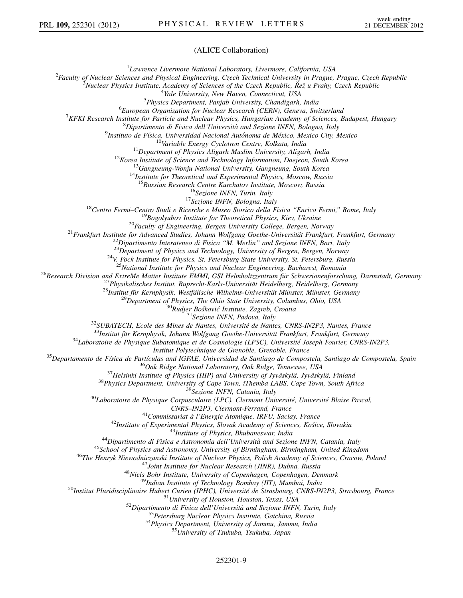(ALICE Collaboration)

 ${}^{1}$ Lawrence Livermore National Laboratory, Livermore, California, USA

Faculty of Nuclear Sciences and Physical Engineering, Czech Technical University in Prague, Prague, Czech Republic<br><sup>3</sup>Nuclear Physics Institute, Academy of Sciences of the Czech Republic *Peč u Prahy Czech Republic*  $\delta$ Nuclear Physics Institute, Academy of Sciences of the Czech Republic, Řež $u$  Prahy, Czech Republic <sup>4</sup>Yale University, New Haven, Connecticut, USA <sup>5</sup> Physics Department, Panjab University, Chandigarh, India  ${}^{6}$ European Organization for Nuclear Research (CERN), Geneva, Switzerland

<sup>1</sup>Lawrence Livermore National Laboratory, Livermore, California, USA<br><sup>2</sup>Eaculty of Nuclear Sciences and Physical Engineering, Czech Technical University in Prague

<sup>6</sup>European Organization for Nuclear Research (CERN), Geneva, Switzerland<br><sup>7</sup>KEKL Research Institute for Particle and Nuclear Physics, Hungarian Academy of Sciences, E KFKI Research Institute for Particle and Nuclear Physics, Hungarian Academy of Sciences, Budapest, Hungary<br><sup>8</sup>Dinartimento di Fisica dell'Università and Sazione INEN, Bologna, Italy  ${}^{8}$ Dipartimento di Fisica dell'Università and Sezione INFN, Bologna, Italy  ${}^{9}$ Instituto de Física, Universidad Nacional Autónoma de México, Mexico City, Mexico <sup>10</sup>Variable Energy Cyclotron Centre, Kolkata, India<br><sup>11</sup>Department of Physics Aligarh Muslim University, Aligarh, India<br><sup>12</sup>Korea Institute of Science and Technology Information, Daejeon, South Korea<br><sup>13</sup>Gangneung-Wonju <sup>16</sup>Sezione INFN, Turin, Italy<br><sup>17</sup>Sezione INFN, Bologna, Italy<br><sup>17</sup>Sezione INFN, Bologna, Italy<br><sup>19</sup>Bogolyubov Institute for Theoretical Physics, Kiev, Ukraine<br><sup>19</sup>Bogolyubov Institute for Theoretical Physics, Kiev, Ukra <sup>24</sup>V. Fock Institute for Physics, St. Petersburg State University, St. Petersburg, Russia<sup>25</sup>National Institute for Physics and Nuclear Engineering, Bucharest, Romania <sup>26</sup>Research Division and ExtreMe Matter Institute EMMI, GSI Helmholtzzentrum für Schwerionenforschung, Darmstadt, Germany<br><sup>27</sup> Physikalisches Institut, Ruprecht-Karls-Universität Heidelberg, Heidelberg, Germany<br><sup>28</sup> Inst 15 Institut Polytechnique de Grenoble, Grenoble, France<br>
<sup>35</sup> Departamento de Física de Partículas and IGFAE, Universidad de Santiago de Compostela, Santiago de Compostela, Spain<br>
<sup>36</sup> Oak Ridge National Laboratory, Oak R  $\begin{tabular}{c|c} \multicolumn{1}{c}{CNRS\_IN2P3, Clermont-Ferrand, France}\\ \multicolumn{1}{c}{\begin{tabular}{c} \multicolumn{1}{c}{\textbf{N}} & \multicolumn{1}{c}{\textbf{N}} & \multicolumn{1}{c}{\textbf{N}} & \multicolumn{1}{c}{\textbf{N}} & \multicolumn{1}{c}{\textbf{N}} & \multicolumn{1}{c}{\textbf{N}} & \multicolumn{1}{c}{\textbf{N}} & \multicolumn{1}{c}{\textbf{N}} & \multicolumn{1}{c}{\textbf{N}} & \multicolumn{1}{c}{\textbf{N}} & \multicolumn{1}{$ 252301-9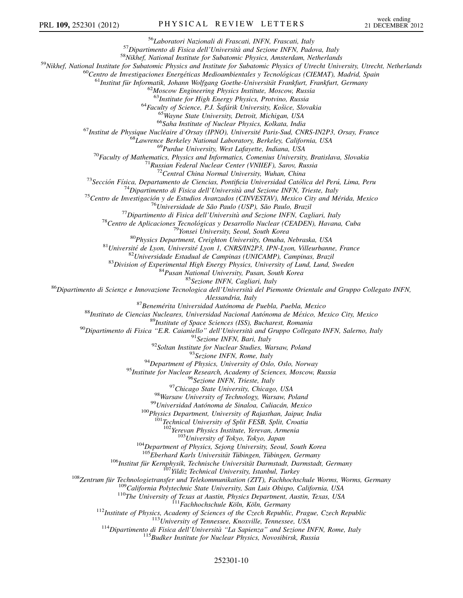<sup>57</sup>Dipartimento di Fisica dell'Università and Sezione INFN, Fascati, Italy<br><sup>57</sup>Dipartimento di Fisica dell'Università and Sezione INFN, Padova, Italy<br><sup>58</sup>Nikhef, National Institute for Subatomic Physics and Institute for <sup>65</sup> Christine for High Energy Physics, Protvino, Russia<br>
<sup>65</sup> Christine, P.J. Sigfirik University, Kolise, Sloven State<br>
<sup>65</sup> Faculty <sup>66</sup> Science, P.J. Seighth University, Kolisean, USA<br>
<sup>67</sup> Institut de Physique Nucleai Alessandria, Italy<br>
<sup>87</sup>Benemérita Universidad Autónoma de Puebla, Mexico<br>
<sup>88</sup>Instituto de Ciencias Nucleares, Universidad National Autónoma de México, Mexico City, Mexico<br>
<sup>89</sup>Institute of Space Sciences (ISS), Bucharest <sup>102</sup>Yerevan Physics Institute, Yerevan, Armenia<br><sup>103</sup>University of Tokyo, Tokyo, Japan<br><sup>104</sup>Department of Physics, Sejong University, Seoul, South Korea<br><sup>105</sup>Eberhard Karls Universität Tübingen, Tübingen, Germany <sup>106</sup>Institut für Kernphysik, Technische Universität Darmstadt, Darmstadt, Germany<br><sup>107</sup>Yildiz Technical University, Istanbul, Turkey<br><sup>108</sup>Zentrum für Technologietransfer und Telekommunikation (ZTT), Fachhochschule Worms,